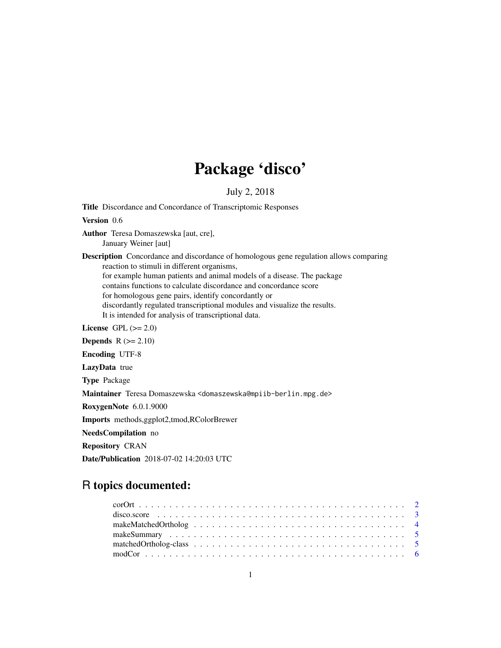## Package 'disco'

July 2, 2018

Title Discordance and Concordance of Transcriptomic Responses

Version 0.6

- Author Teresa Domaszewska [aut, cre], January Weiner [aut]
- Description Concordance and discordance of homologous gene regulation allows comparing reaction to stimuli in different organisms, for example human patients and animal models of a disease. The package contains functions to calculate discordance and concordance score for homologous gene pairs, identify concordantly or discordantly regulated transcriptional modules and visualize the results. It is intended for analysis of transcriptional data.

License GPL  $(>= 2.0)$ 

Depends  $R (= 2.10)$ 

Encoding UTF-8

LazyData true

Type Package

Maintainer Teresa Domaszewska <domaszewska@mpiib-berlin.mpg.de>

RoxygenNote 6.0.1.9000

Imports methods,ggplot2,tmod,RColorBrewer

NeedsCompilation no

Repository CRAN

Date/Publication 2018-07-02 14:20:03 UTC

## R topics documented: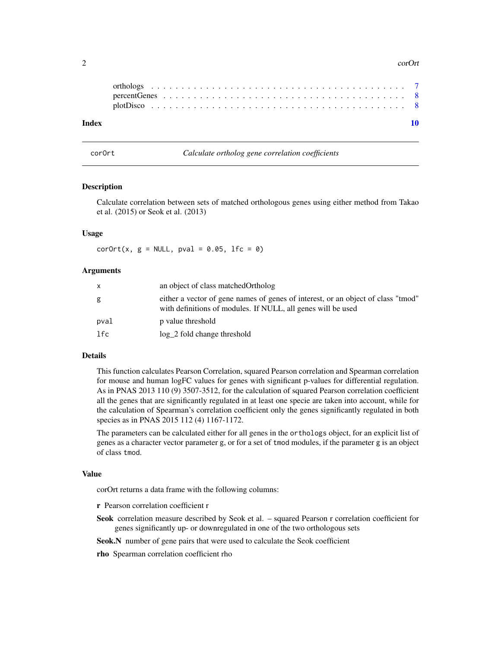#### <span id="page-1-0"></span> $2 \cos \theta$

#### $\blacksquare$

corOrt *Calculate ortholog gene correlation coefficients*

#### Description

Calculate correlation between sets of matched orthologous genes using either method from Takao et al. (2015) or Seok et al. (2013)

#### Usage

 $corOrt(x, g = NULL, pval = 0.05, 1fc = 0)$ 

#### Arguments

| x    | an object of class matched Ortholog                                                                                                              |
|------|--------------------------------------------------------------------------------------------------------------------------------------------------|
| g    | either a vector of gene names of genes of interest, or an object of class "tmod"<br>with definitions of modules. If NULL, all genes will be used |
| pval | p value threshold                                                                                                                                |
| lfc. | log 2 fold change threshold                                                                                                                      |

#### Details

This function calculates Pearson Correlation, squared Pearson correlation and Spearman correlation for mouse and human logFC values for genes with significant p-values for differential regulation. As in PNAS 2013 110 (9) 3507-3512, for the calculation of squared Pearson correlation coefficient all the genes that are significantly regulated in at least one specie are taken into account, while for the calculation of Spearman's correlation coefficient only the genes significantly regulated in both species as in PNAS 2015 112 (4) 1167-1172.

The parameters can be calculated either for all genes in the orthologs object, for an explicit list of genes as a character vector parameter g, or for a set of tmod modules, if the parameter g is an object of class tmod.

#### Value

corOrt returns a data frame with the following columns:

- r Pearson correlation coefficient r
- Seok correlation measure described by Seok et al. squared Pearson r correlation coefficient for genes significantly up- or downregulated in one of the two orthologous sets

Seok.N number of gene pairs that were used to calculate the Seok coefficient

rho Spearman correlation coefficient rho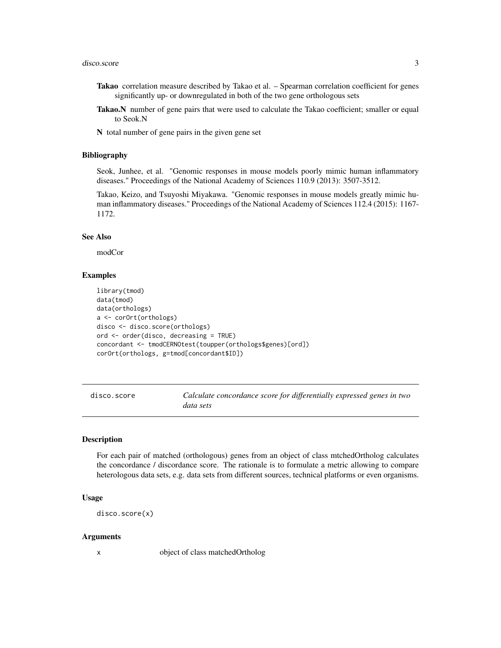- <span id="page-2-0"></span>Takao correlation measure described by Takao et al. – Spearman correlation coefficient for genes significantly up- or downregulated in both of the two gene orthologous sets
- Takao.N number of gene pairs that were used to calculate the Takao coefficient; smaller or equal to Seok.N

N total number of gene pairs in the given gene set

#### Bibliography

Seok, Junhee, et al. "Genomic responses in mouse models poorly mimic human inflammatory diseases." Proceedings of the National Academy of Sciences 110.9 (2013): 3507-3512.

Takao, Keizo, and Tsuyoshi Miyakawa. "Genomic responses in mouse models greatly mimic human inflammatory diseases." Proceedings of the National Academy of Sciences 112.4 (2015): 1167- 1172.

#### See Also

modCor

#### Examples

```
library(tmod)
data(tmod)
data(orthologs)
a <- corOrt(orthologs)
disco <- disco.score(orthologs)
ord <- order(disco, decreasing = TRUE)
concordant <- tmodCERNOtest(toupper(orthologs$genes)[ord])
corOrt(orthologs, g=tmod[concordant$ID])
```

| disco.score | Calculate concordance score for differentially expressed genes in two |
|-------------|-----------------------------------------------------------------------|
|             | data sets                                                             |

#### Description

For each pair of matched (orthologous) genes from an object of class mtchedOrtholog calculates the concordance / discordance score. The rationale is to formulate a metric allowing to compare heterologous data sets, e.g. data sets from different sources, technical platforms or even organisms.

#### Usage

disco.score(x)

#### Arguments

x object of class matchedOrtholog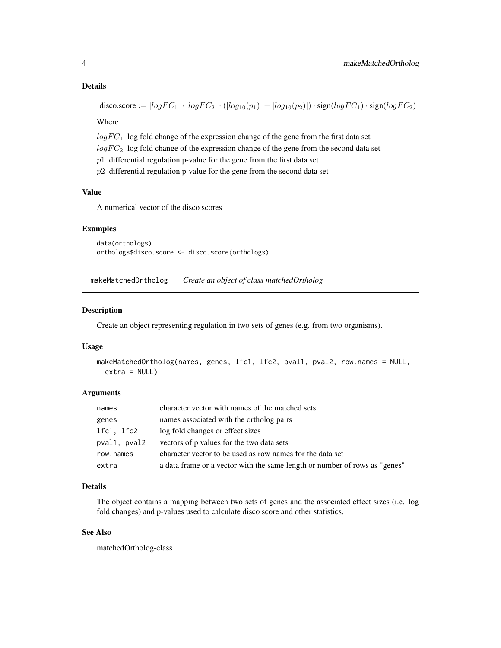#### <span id="page-3-0"></span>Details

disco.score :=  $|logFC_1| \cdot |logFC_2| \cdot (|log_{10}(p_1)| + |log_{10}(p_2)|) \cdot sign(logFC_1) \cdot sign(logFC_2)$ 

Where

 $logFC_1$  log fold change of the expression change of the gene from the first data set

 $logFC_2$  log fold change of the expression change of the gene from the second data set

 $p1$  differential regulation p-value for the gene from the first data set

 $p2$  differential regulation p-value for the gene from the second data set

#### Value

A numerical vector of the disco scores

#### Examples

```
data(orthologs)
orthologs$disco.score <- disco.score(orthologs)
```
makeMatchedOrtholog *Create an object of class matchedOrtholog*

#### Description

Create an object representing regulation in two sets of genes (e.g. from two organisms).

#### Usage

```
makeMatchedOrtholog(names, genes, lfc1, lfc2, pval1, pval2, row.names = NULL,
 extra = NULL
```
#### **Arguments**

| names        | character vector with names of the matched sets                            |
|--------------|----------------------------------------------------------------------------|
| genes        | names associated with the ortholog pairs                                   |
| lfc1, lfc2   | log fold changes or effect sizes                                           |
| pval1, pval2 | vectors of p values for the two data sets                                  |
| row.names    | character vector to be used as row names for the data set                  |
| extra        | a data frame or a vector with the same length or number of rows as "genes" |

#### Details

The object contains a mapping between two sets of genes and the associated effect sizes (i.e. log fold changes) and p-values used to calculate disco score and other statistics.

#### See Also

matchedOrtholog-class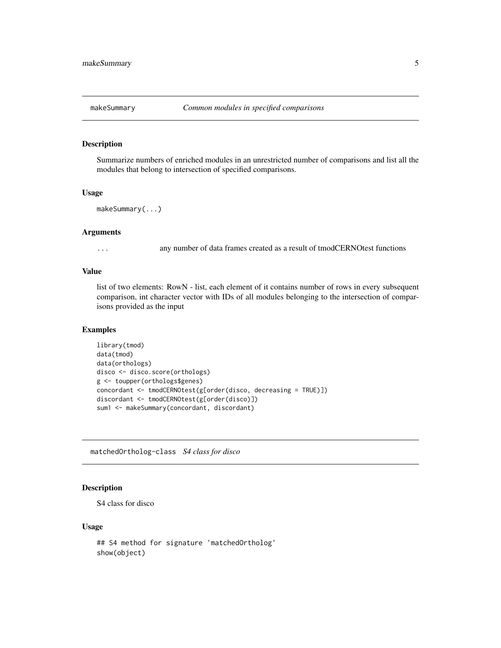<span id="page-4-0"></span>

#### Description

Summarize numbers of enriched modules in an unrestricted number of comparisons and list all the modules that belong to intersection of specified comparisons.

#### Usage

```
makeSummary(...)
```
#### Arguments

... any number of data frames created as a result of tmodCERNOtest functions

#### Value

list of two elements: RowN - list, each element of it contains number of rows in every subsequent comparison, int character vector with IDs of all modules belonging to the intersection of comparisons provided as the input

#### Examples

```
library(tmod)
data(tmod)
data(orthologs)
disco <- disco.score(orthologs)
g <- toupper(orthologs$genes)
concordant <- tmodCERNOtest(g[order(disco, decreasing = TRUE)])
discordant <- tmodCERNOtest(g[order(disco)])
sum1 <- makeSummary(concordant, discordant)
```
matchedOrtholog-class *S4 class for disco*

#### Description

S4 class for disco

#### Usage

```
## S4 method for signature 'matchedOrtholog'
show(object)
```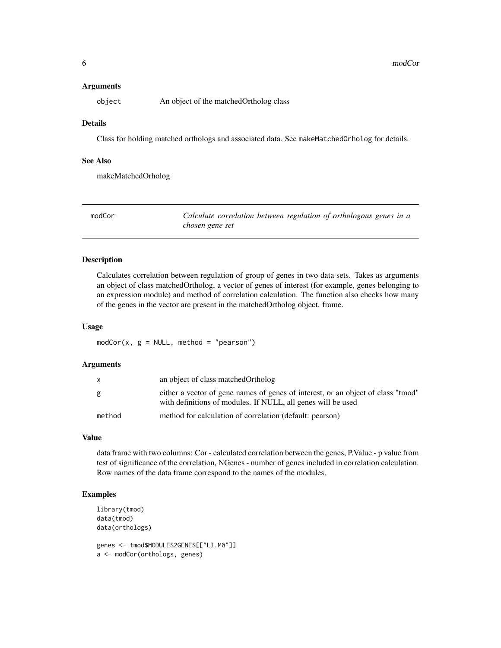#### <span id="page-5-0"></span>Arguments

object An object of the matchedOrtholog class

#### Details

Class for holding matched orthologs and associated data. See makeMatchedOrholog for details.

#### See Also

makeMatchedOrholog

modCor *Calculate correlation between regulation of orthologous genes in a chosen gene set*

#### Description

Calculates correlation between regulation of group of genes in two data sets. Takes as arguments an object of class matchedOrtholog, a vector of genes of interest (for example, genes belonging to an expression module) and method of correlation calculation. The function also checks how many of the genes in the vector are present in the matchedOrtholog object. frame.

#### Usage

 $modCor(x, g = NULL, method = "pearson")$ 

#### Arguments

|        | an object of class matched Ortholog                                                                                                              |
|--------|--------------------------------------------------------------------------------------------------------------------------------------------------|
| g      | either a vector of gene names of genes of interest, or an object of class "tmod"<br>with definitions of modules. If NULL, all genes will be used |
| method | method for calculation of correlation (default: pearson)                                                                                         |

#### Value

data frame with two columns: Cor - calculated correlation between the genes, P.Value - p value from test of significance of the correlation, NGenes - number of genes included in correlation calculation. Row names of the data frame correspond to the names of the modules.

#### Examples

```
library(tmod)
data(tmod)
data(orthologs)
genes <- tmod$MODULES2GENES[["LI.M0"]]
a <- modCor(orthologs, genes)
```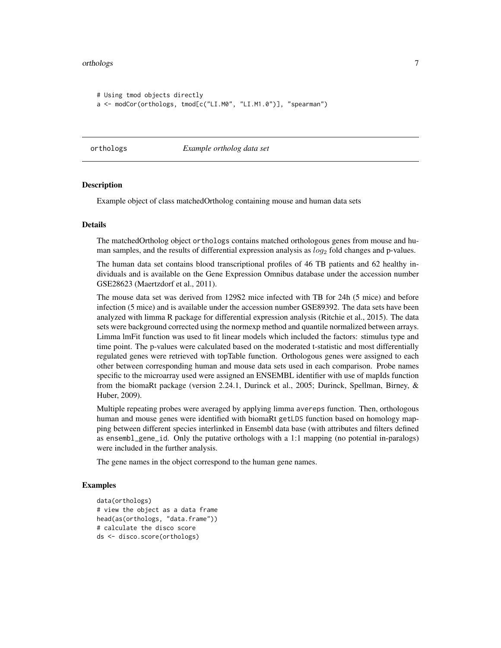#### <span id="page-6-0"></span>orthologs and the control of the control of the control of the control of the control of the control of the control of the control of the control of the control of the control of the control of the control of the control o

```
# Using tmod objects directly
a <- modCor(orthologs, tmod[c("LI.M0", "LI.M1.0")], "spearman")
```
orthologs *Example ortholog data set*

#### Description

Example object of class matchedOrtholog containing mouse and human data sets

#### Details

The matchedOrtholog object orthologs contains matched orthologous genes from mouse and human samples, and the results of differential expression analysis as  $log_2$  fold changes and p-values.

The human data set contains blood transcriptional profiles of 46 TB patients and 62 healthy individuals and is available on the Gene Expression Omnibus database under the accession number GSE28623 (Maertzdorf et al., 2011).

The mouse data set was derived from 129S2 mice infected with TB for 24h (5 mice) and before infection (5 mice) and is available under the accession number GSE89392. The data sets have been analyzed with limma R package for differential expression analysis (Ritchie et al., 2015). The data sets were background corrected using the normexp method and quantile normalized between arrays. Limma lmFit function was used to fit linear models which included the factors: stimulus type and time point. The p-values were calculated based on the moderated t-statistic and most differentially regulated genes were retrieved with topTable function. Orthologous genes were assigned to each other between corresponding human and mouse data sets used in each comparison. Probe names specific to the microarray used were assigned an ENSEMBL identifier with use of mapIds function from the biomaRt package (version 2.24.1, Durinck et al., 2005; Durinck, Spellman, Birney, & Huber, 2009).

Multiple repeating probes were averaged by applying limma avereps function. Then, orthologous human and mouse genes were identified with biomaRt getLDS function based on homology mapping between different species interlinked in Ensembl data base (with attributes and filters defined as ensembl\_gene\_id. Only the putative orthologs with a 1:1 mapping (no potential in-paralogs) were included in the further analysis.

The gene names in the object correspond to the human gene names.

#### Examples

```
data(orthologs)
# view the object as a data frame
head(as(orthologs, "data.frame"))
# calculate the disco score
ds <- disco.score(orthologs)
```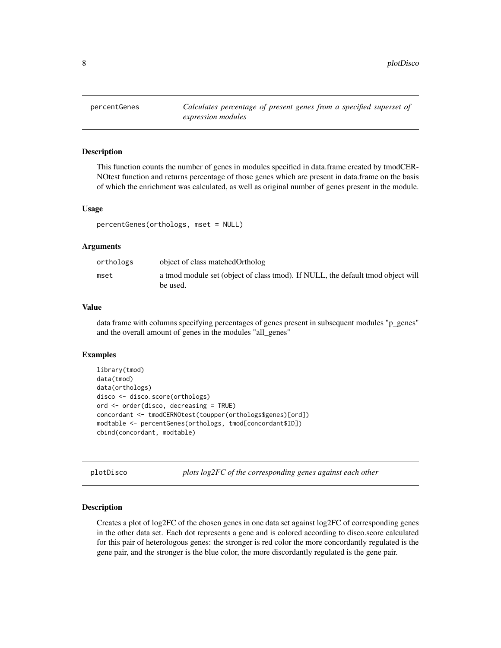<span id="page-7-0"></span>

#### Description

This function counts the number of genes in modules specified in data.frame created by tmodCER-NOtest function and returns percentage of those genes which are present in data.frame on the basis of which the enrichment was calculated, as well as original number of genes present in the module.

#### Usage

```
percentGenes(orthologs, mset = NULL)
```
#### Arguments

| orthologs | object of class matched Ortholog                                                            |
|-----------|---------------------------------------------------------------------------------------------|
| mset      | a tmod module set (object of class tmod). If NULL, the default tmod object will<br>be used. |

#### Value

data frame with columns specifying percentages of genes present in subsequent modules "p\_genes" and the overall amount of genes in the modules "all\_genes"

#### Examples

```
library(tmod)
data(tmod)
data(orthologs)
disco <- disco.score(orthologs)
ord <- order(disco, decreasing = TRUE)
concordant <- tmodCERNOtest(toupper(orthologs$genes)[ord])
modtable <- percentGenes(orthologs, tmod[concordant$ID])
cbind(concordant, modtable)
```
plotDisco *plots log2FC of the corresponding genes against each other*

#### Description

Creates a plot of log2FC of the chosen genes in one data set against log2FC of corresponding genes in the other data set. Each dot represents a gene and is colored according to disco.score calculated for this pair of heterologous genes: the stronger is red color the more concordantly regulated is the gene pair, and the stronger is the blue color, the more discordantly regulated is the gene pair.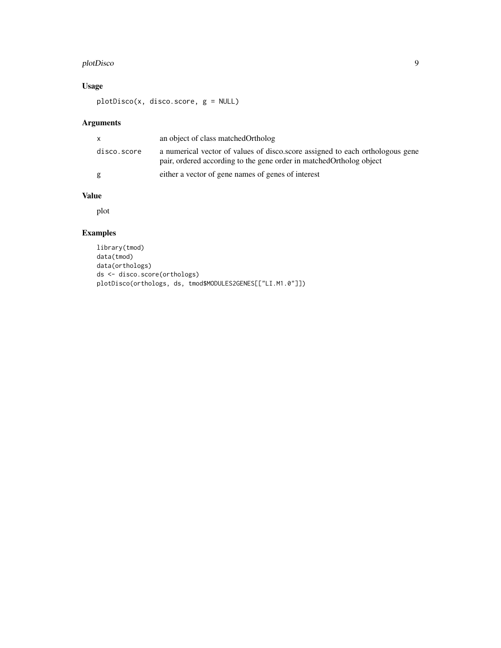#### plotDisco 9

#### Usage

plotDisco(x, disco.score, g = NULL)

#### Arguments

| X           | an object of class matched Ortholog                                                                                                                   |
|-------------|-------------------------------------------------------------------------------------------------------------------------------------------------------|
| disco.score | a numerical vector of values of disco.score assigned to each orthologous gene<br>pair, ordered according to the gene order in matched Ortholog object |
| g           | either a vector of gene names of genes of interest                                                                                                    |

#### Value

plot

### Examples

```
library(tmod)
data(tmod)
data(orthologs)
ds <- disco.score(orthologs)
plotDisco(orthologs, ds, tmod$MODULES2GENES[["LI.M1.0"]])
```